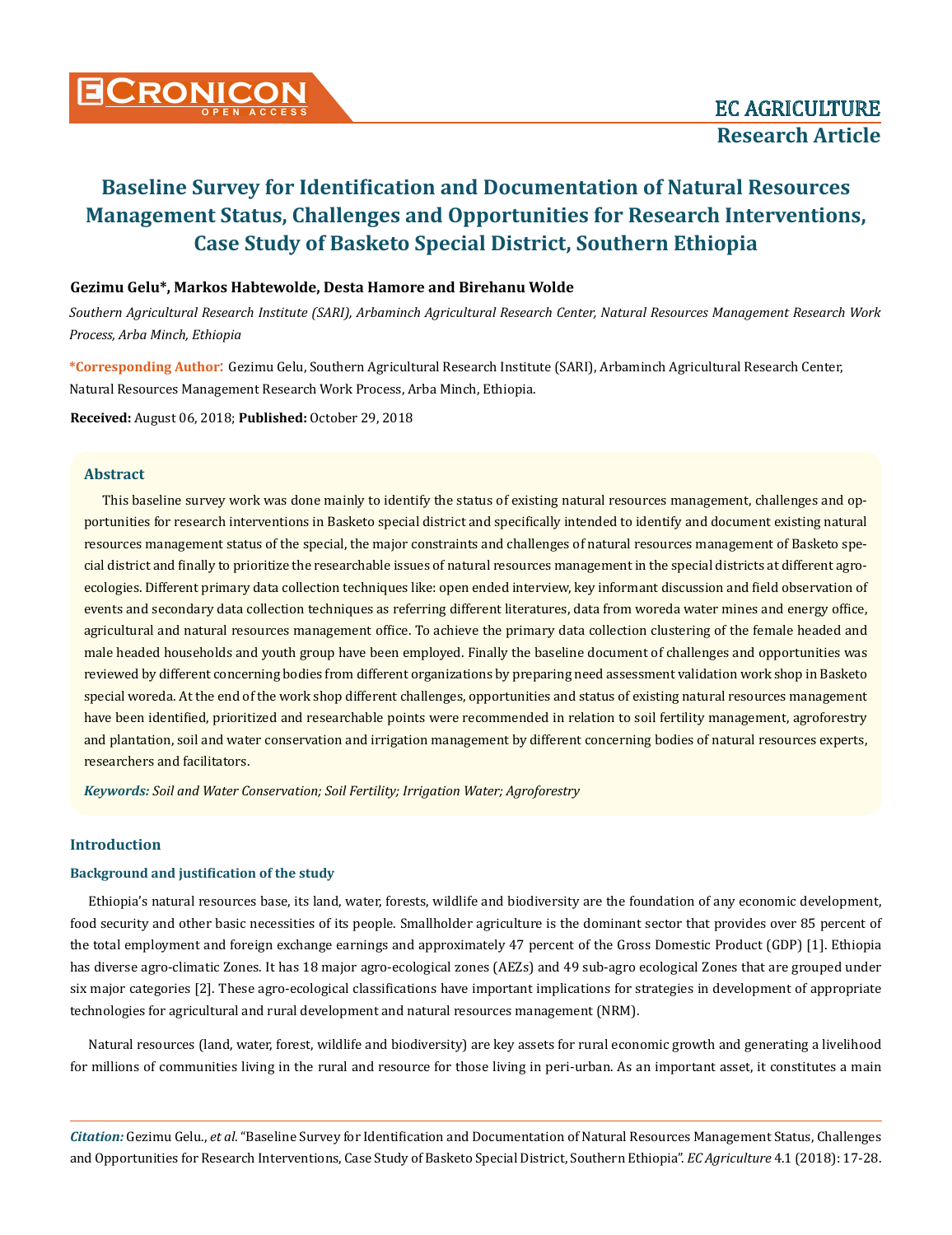

# **Gezimu Gelu\*, Markos Habtewolde, Desta Hamore and Birehanu Wolde**

*Southern Agricultural Research Institute (SARI), Arbaminch Agricultural Research Center, Natural Resources Management Research Work Process, Arba Minch, Ethiopia*

**\*Corresponding Author**: Gezimu Gelu, Southern Agricultural Research Institute (SARI), Arbaminch Agricultural Research Center, Natural Resources Management Research Work Process, Arba Minch, Ethiopia.

**Received:** August 06, 2018; **Published:** October 29, 2018

# **Abstract**

This baseline survey work was done mainly to identify the status of existing natural resources management, challenges and opportunities for research interventions in Basketo special district and specifically intended to identify and document existing natural resources management status of the special, the major constraints and challenges of natural resources management of Basketo special district and finally to prioritize the researchable issues of natural resources management in the special districts at different agroecologies. Different primary data collection techniques like: open ended interview, key informant discussion and field observation of events and secondary data collection techniques as referring different literatures, data from woreda water mines and energy office, agricultural and natural resources management office. To achieve the primary data collection clustering of the female headed and male headed households and youth group have been employed. Finally the baseline document of challenges and opportunities was reviewed by different concerning bodies from different organizations by preparing need assessment validation work shop in Basketo special woreda. At the end of the work shop different challenges, opportunities and status of existing natural resources management have been identified, prioritized and researchable points were recommended in relation to soil fertility management, agroforestry and plantation, soil and water conservation and irrigation management by different concerning bodies of natural resources experts, researchers and facilitators.

*Keywords: Soil and Water Conservation; Soil Fertility; Irrigation Water; Agroforestry* 

# **Introduction**

# **Background and justification of the study**

Ethiopia's natural resources base, its land, water, forests, wildlife and biodiversity are the foundation of any economic development, food security and other basic necessities of its people. Smallholder agriculture is the dominant sector that provides over 85 percent of the total employment and foreign exchange earnings and approximately 47 percent of the Gross Domestic Product (GDP) [1]. Ethiopia has diverse agro-climatic Zones. It has 18 major agro-ecological zones (AEZs) and 49 sub-agro ecological Zones that are grouped under six major categories [2]. These agro-ecological classifications have important implications for strategies in development of appropriate technologies for agricultural and rural development and natural resources management (NRM).

Natural resources (land, water, forest, wildlife and biodiversity) are key assets for rural economic growth and generating a livelihood for millions of communities living in the rural and resource for those living in peri-urban. As an important asset, it constitutes a main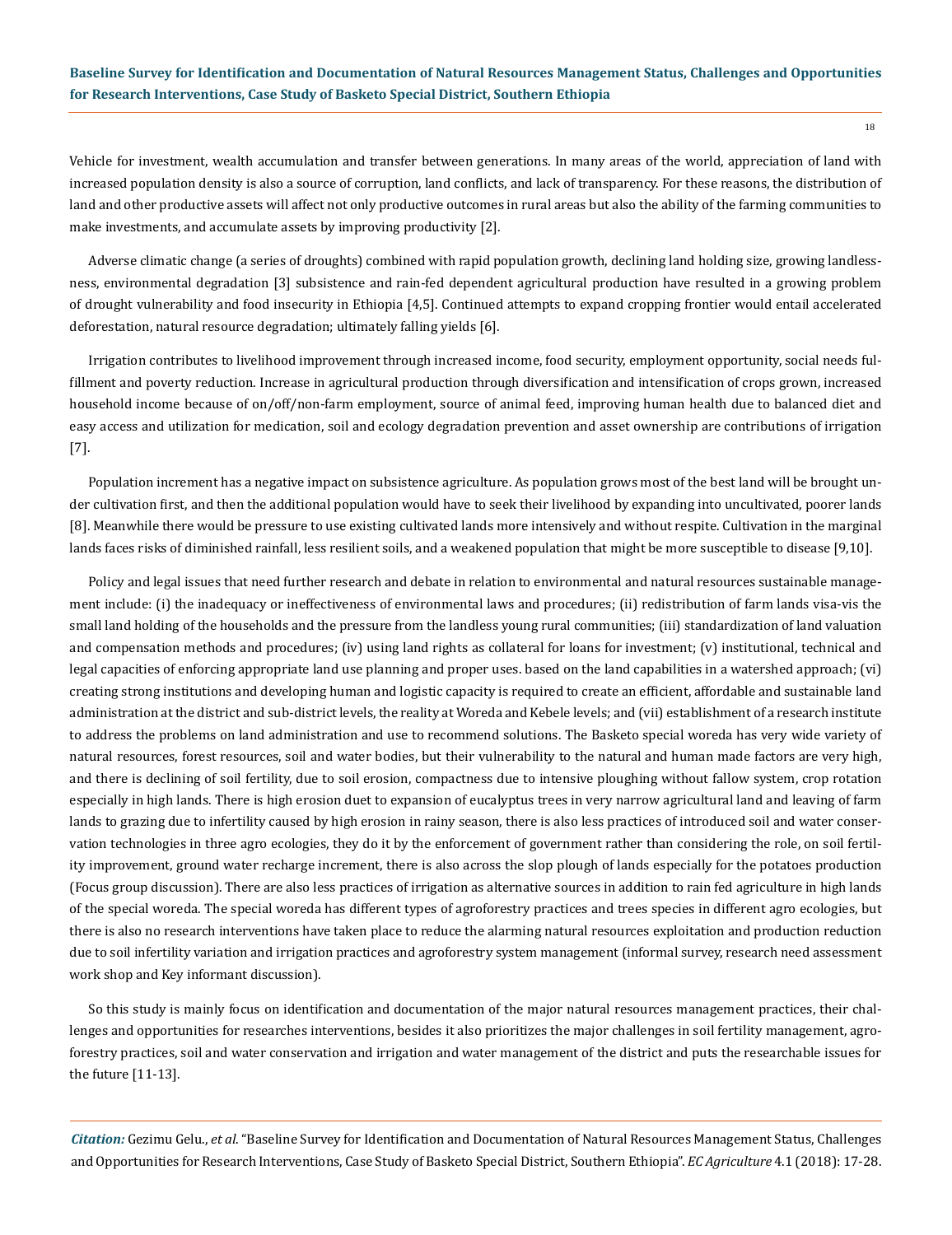Vehicle for investment, wealth accumulation and transfer between generations. In many areas of the world, appreciation of land with increased population density is also a source of corruption, land conflicts, and lack of transparency. For these reasons, the distribution of land and other productive assets will affect not only productive outcomes in rural areas but also the ability of the farming communities to make investments, and accumulate assets by improving productivity [2].

Adverse climatic change (a series of droughts) combined with rapid population growth, declining land holding size, growing landlessness, environmental degradation [3] subsistence and rain-fed dependent agricultural production have resulted in a growing problem of drought vulnerability and food insecurity in Ethiopia [4,5]. Continued attempts to expand cropping frontier would entail accelerated deforestation, natural resource degradation; ultimately falling yields [6].

Irrigation contributes to livelihood improvement through increased income, food security, employment opportunity, social needs fulfillment and poverty reduction. Increase in agricultural production through diversification and intensification of crops grown, increased household income because of on/off/non-farm employment, source of animal feed, improving human health due to balanced diet and easy access and utilization for medication, soil and ecology degradation prevention and asset ownership are contributions of irrigation [7].

Population increment has a negative impact on subsistence agriculture. As population grows most of the best land will be brought under cultivation first, and then the additional population would have to seek their livelihood by expanding into uncultivated, poorer lands [8]. Meanwhile there would be pressure to use existing cultivated lands more intensively and without respite. Cultivation in the marginal lands faces risks of diminished rainfall, less resilient soils, and a weakened population that might be more susceptible to disease [9,10].

Policy and legal issues that need further research and debate in relation to environmental and natural resources sustainable management include: (i) the inadequacy or ineffectiveness of environmental laws and procedures; (ii) redistribution of farm lands visa-vis the small land holding of the households and the pressure from the landless young rural communities; (iii) standardization of land valuation and compensation methods and procedures; (iv) using land rights as collateral for loans for investment; (v) institutional, technical and legal capacities of enforcing appropriate land use planning and proper uses. based on the land capabilities in a watershed approach; (vi) creating strong institutions and developing human and logistic capacity is required to create an efficient, affordable and sustainable land administration at the district and sub-district levels, the reality at Woreda and Kebele levels; and (vii) establishment of a research institute to address the problems on land administration and use to recommend solutions. The Basketo special woreda has very wide variety of natural resources, forest resources, soil and water bodies, but their vulnerability to the natural and human made factors are very high, and there is declining of soil fertility, due to soil erosion, compactness due to intensive ploughing without fallow system, crop rotation especially in high lands. There is high erosion duet to expansion of eucalyptus trees in very narrow agricultural land and leaving of farm lands to grazing due to infertility caused by high erosion in rainy season, there is also less practices of introduced soil and water conservation technologies in three agro ecologies, they do it by the enforcement of government rather than considering the role, on soil fertility improvement, ground water recharge increment, there is also across the slop plough of lands especially for the potatoes production (Focus group discussion). There are also less practices of irrigation as alternative sources in addition to rain fed agriculture in high lands of the special woreda. The special woreda has different types of agroforestry practices and trees species in different agro ecologies, but there is also no research interventions have taken place to reduce the alarming natural resources exploitation and production reduction due to soil infertility variation and irrigation practices and agroforestry system management (informal survey, research need assessment work shop and Key informant discussion).

So this study is mainly focus on identification and documentation of the major natural resources management practices, their challenges and opportunities for researches interventions, besides it also prioritizes the major challenges in soil fertility management, agroforestry practices, soil and water conservation and irrigation and water management of the district and puts the researchable issues for the future [11-13].

*Citation:* Gezimu Gelu., *et al*. "Baseline Survey for Identification and Documentation of Natural Resources Management Status, Challenges and Opportunities for Research Interventions, Case Study of Basketo Special District, Southern Ethiopia". *EC Agriculture* 4.1 (2018): 17-28.

18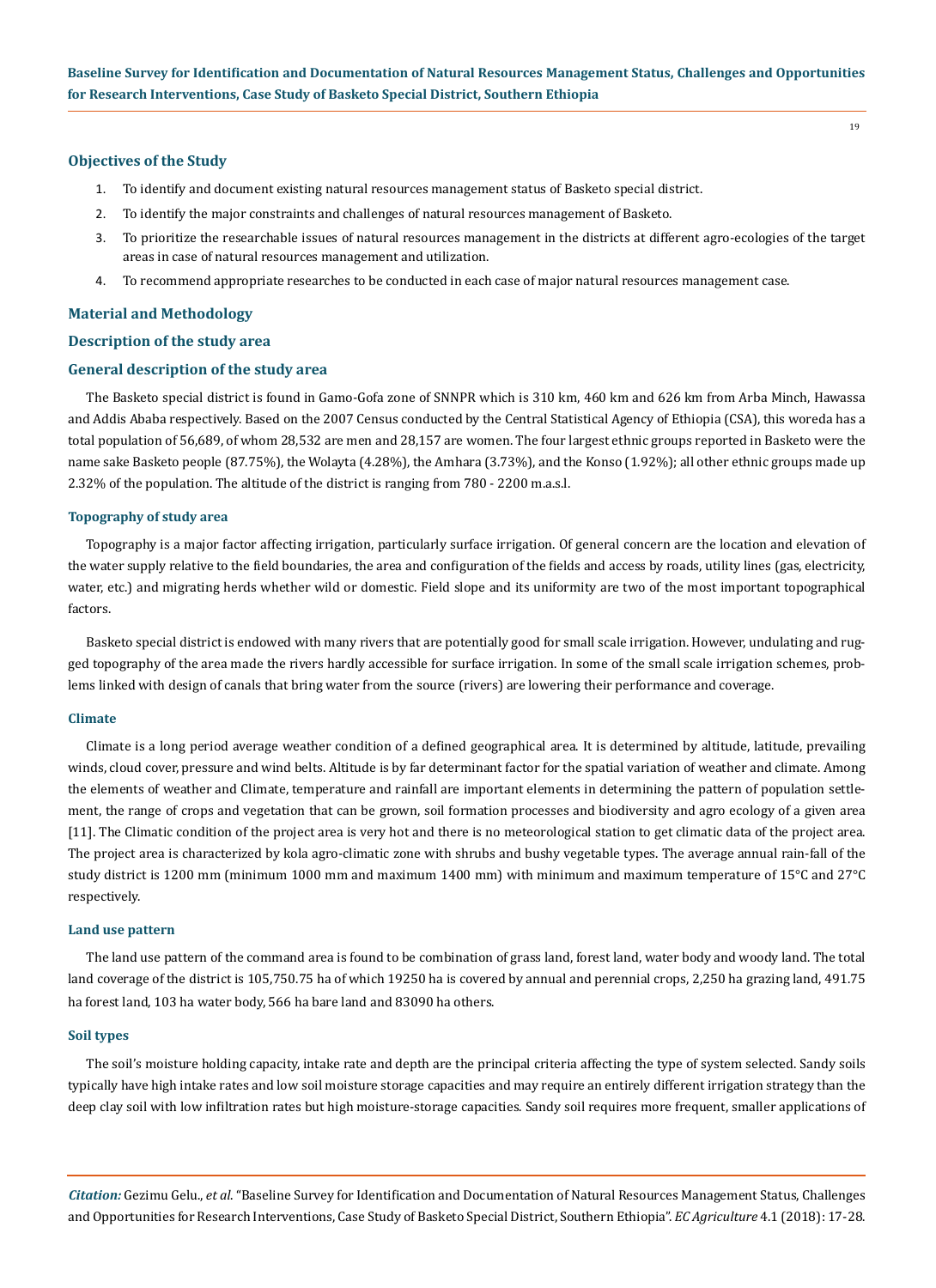# **Objectives of the Study**

- 1. To identify and document existing natural resources management status of Basketo special district.
- 2. To identify the major constraints and challenges of natural resources management of Basketo.
- 3. To prioritize the researchable issues of natural resources management in the districts at different agro-ecologies of the target areas in case of natural resources management and utilization.
- 4. To recommend appropriate researches to be conducted in each case of major natural resources management case.

## **Material and Methodology**

# **Description of the study area**

#### **General description of the study area**

The Basketo special district is found in Gamo-Gofa zone of SNNPR which is 310 km, 460 km and 626 km from Arba Minch, Hawassa and Addis Ababa respectively. Based on the 2007 Census conducted by the Central Statistical Agency of Ethiopia (CSA), this woreda has a total population of 56,689, of whom 28,532 are men and 28,157 are women. The four largest ethnic groups reported in Basketo were the name sake Basketo people (87.75%), the Wolayta (4.28%), the Amhara (3.73%), and the Konso (1.92%); all other ethnic groups made up 2.32% of the population. The altitude of the district is ranging from 780 - 2200 m.a.s.l.

#### **Topography of study area**

Topography is a major factor affecting irrigation, particularly surface irrigation. Of general concern are the location and elevation of the water supply relative to the field boundaries, the area and configuration of the fields and access by roads, utility lines (gas, electricity, water, etc.) and migrating herds whether wild or domestic. Field slope and its uniformity are two of the most important topographical factors.

Basketo special district is endowed with many rivers that are potentially good for small scale irrigation. However, undulating and rugged topography of the area made the rivers hardly accessible for surface irrigation. In some of the small scale irrigation schemes, problems linked with design of canals that bring water from the source (rivers) are lowering their performance and coverage.

#### **Climate**

Climate is a long period average weather condition of a defined geographical area. It is determined by altitude, latitude, prevailing winds, cloud cover, pressure and wind belts. Altitude is by far determinant factor for the spatial variation of weather and climate. Among the elements of weather and Climate, temperature and rainfall are important elements in determining the pattern of population settlement, the range of crops and vegetation that can be grown, soil formation processes and biodiversity and agro ecology of a given area [11]. The Climatic condition of the project area is very hot and there is no meteorological station to get climatic data of the project area. The project area is characterized by kola agro-climatic zone with shrubs and bushy vegetable types. The average annual rain-fall of the study district is 1200 mm (minimum 1000 mm and maximum 1400 mm) with minimum and maximum temperature of 15°C and 27°C respectively.

#### **Land use pattern**

The land use pattern of the command area is found to be combination of grass land, forest land, water body and woody land. The total land coverage of the district is 105,750.75 ha of which 19250 ha is covered by annual and perennial crops, 2,250 ha grazing land, 491.75 ha forest land, 103 ha water body, 566 ha bare land and 83090 ha others.

#### **Soil types**

The soil's moisture holding capacity, intake rate and depth are the principal criteria affecting the type of system selected. Sandy soils typically have high intake rates and low soil moisture storage capacities and may require an entirely different irrigation strategy than the deep clay soil with low infiltration rates but high moisture-storage capacities. Sandy soil requires more frequent, smaller applications of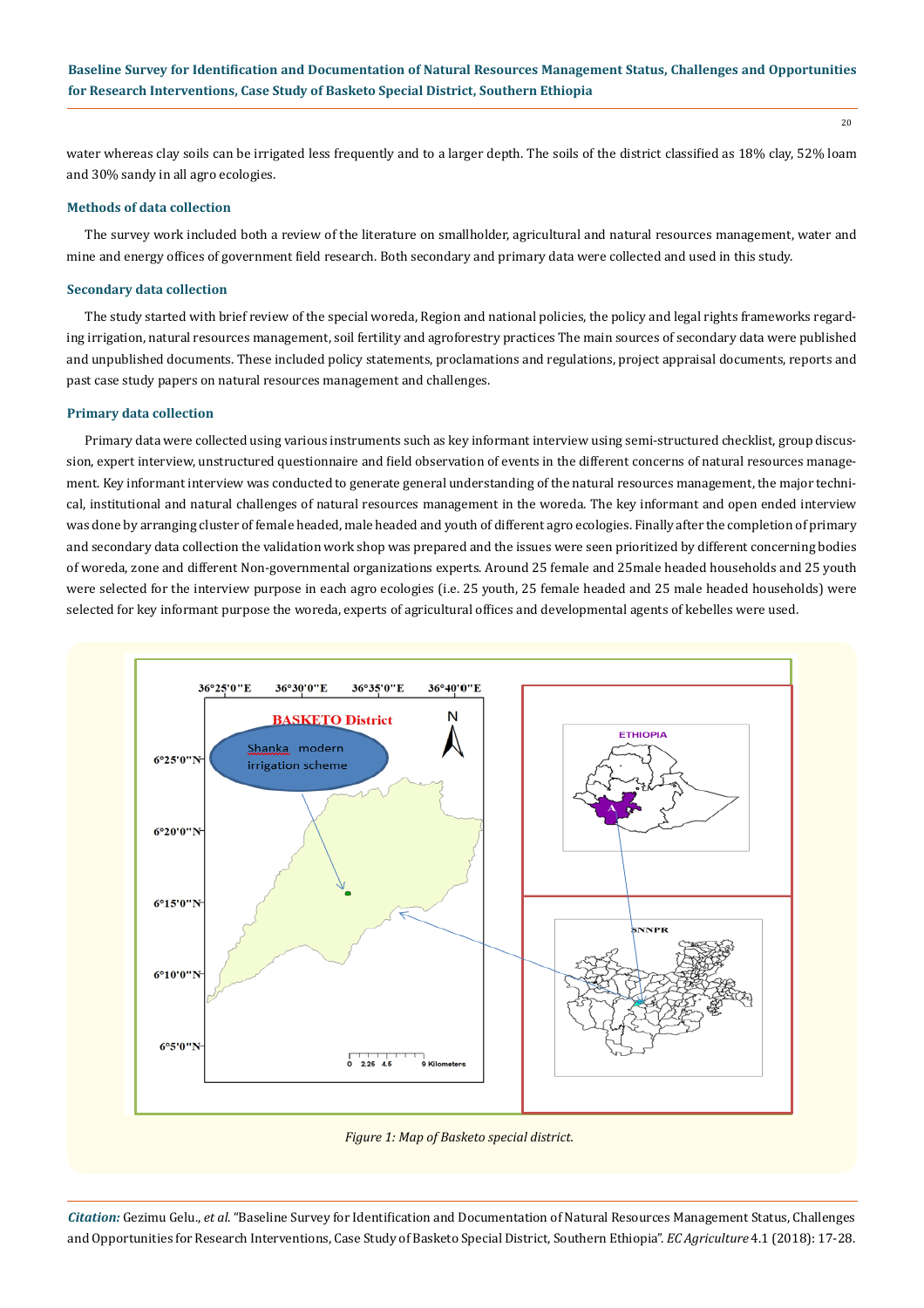water whereas clay soils can be irrigated less frequently and to a larger depth. The soils of the district classified as 18% clay, 52% loam and 30% sandy in all agro ecologies.

# **Methods of data collection**

The survey work included both a review of the literature on smallholder, agricultural and natural resources management, water and mine and energy offices of government field research. Both secondary and primary data were collected and used in this study.

#### **Secondary data collection**

The study started with brief review of the special woreda, Region and national policies, the policy and legal rights frameworks regarding irrigation, natural resources management, soil fertility and agroforestry practices The main sources of secondary data were published and unpublished documents. These included policy statements, proclamations and regulations, project appraisal documents, reports and past case study papers on natural resources management and challenges.

### **Primary data collection**

Primary data were collected using various instruments such as key informant interview using semi-structured checklist, group discussion, expert interview, unstructured questionnaire and field observation of events in the different concerns of natural resources management. Key informant interview was conducted to generate general understanding of the natural resources management, the major technical, institutional and natural challenges of natural resources management in the woreda. The key informant and open ended interview was done by arranging cluster of female headed, male headed and youth of different agro ecologies. Finally after the completion of primary and secondary data collection the validation work shop was prepared and the issues were seen prioritized by different concerning bodies of woreda, zone and different Non-governmental organizations experts. Around 25 female and 25male headed households and 25 youth were selected for the interview purpose in each agro ecologies (i.e. 25 youth, 25 female headed and 25 male headed households) were selected for key informant purpose the woreda, experts of agricultural offices and developmental agents of kebelles were used.



*Figure 1: Map of Basketo special district.*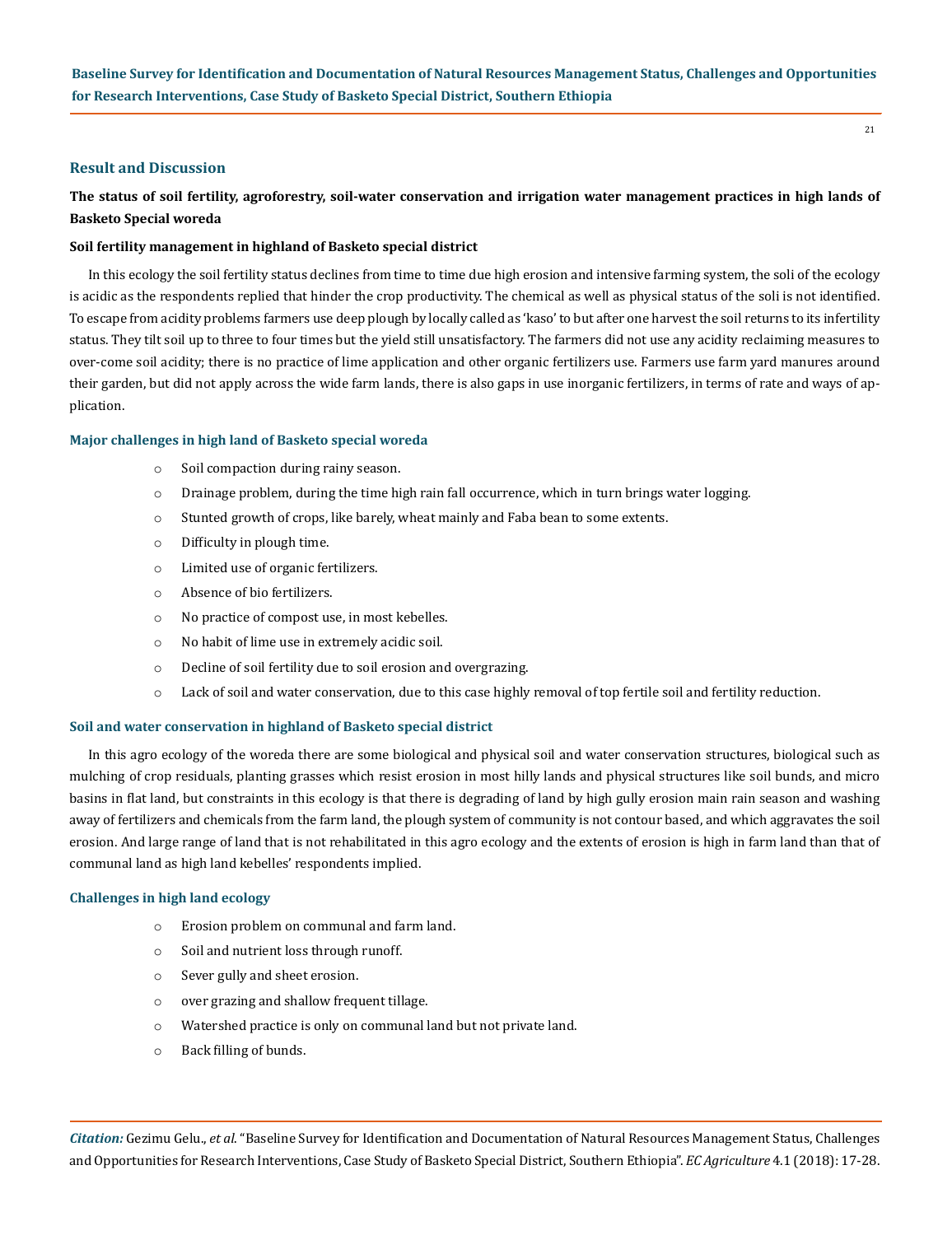## **Result and Discussion**

**The status of soil fertility, agroforestry, soil-water conservation and irrigation water management practices in high lands of Basketo Special woreda**

#### **Soil fertility management in highland of Basketo special district**

In this ecology the soil fertility status declines from time to time due high erosion and intensive farming system, the soli of the ecology is acidic as the respondents replied that hinder the crop productivity. The chemical as well as physical status of the soli is not identified. To escape from acidity problems farmers use deep plough by locally called as 'kaso' to but after one harvest the soil returns to its infertility status. They tilt soil up to three to four times but the yield still unsatisfactory. The farmers did not use any acidity reclaiming measures to over-come soil acidity; there is no practice of lime application and other organic fertilizers use. Farmers use farm yard manures around their garden, but did not apply across the wide farm lands, there is also gaps in use inorganic fertilizers, in terms of rate and ways of application.

#### **Major challenges in high land of Basketo special woreda**

- o Soil compaction during rainy season.
- o Drainage problem, during the time high rain fall occurrence, which in turn brings water logging.
- o Stunted growth of crops, like barely, wheat mainly and Faba bean to some extents.
- o Difficulty in plough time.
- o Limited use of organic fertilizers.
- o Absence of bio fertilizers.
- o No practice of compost use, in most kebelles.
- o No habit of lime use in extremely acidic soil.
- o Decline of soil fertility due to soil erosion and overgrazing.
- o Lack of soil and water conservation, due to this case highly removal of top fertile soil and fertility reduction.

#### **Soil and water conservation in highland of Basketo special district**

In this agro ecology of the woreda there are some biological and physical soil and water conservation structures, biological such as mulching of crop residuals, planting grasses which resist erosion in most hilly lands and physical structures like soil bunds, and micro basins in flat land, but constraints in this ecology is that there is degrading of land by high gully erosion main rain season and washing away of fertilizers and chemicals from the farm land, the plough system of community is not contour based, and which aggravates the soil erosion. And large range of land that is not rehabilitated in this agro ecology and the extents of erosion is high in farm land than that of communal land as high land kebelles' respondents implied.

# **Challenges in high land ecology**

- Erosion problem on communal and farm land.
- o Soil and nutrient loss through runoff.
- o Sever gully and sheet erosion.
- o over grazing and shallow frequent tillage.
- o Watershed practice is only on communal land but not private land.
- o Back filling of bunds.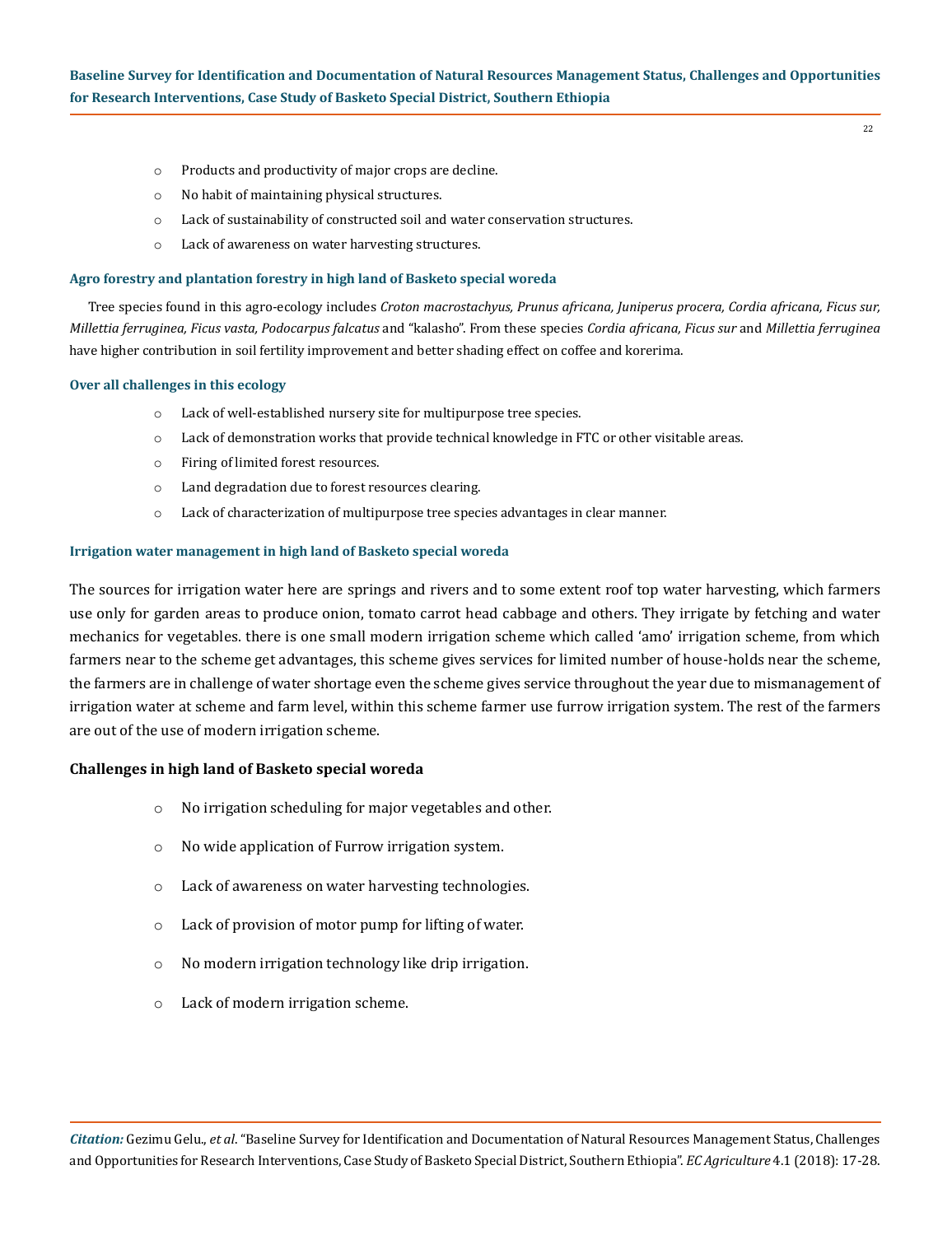- o Products and productivity of major crops are decline.
- o No habit of maintaining physical structures.
- o Lack of sustainability of constructed soil and water conservation structures.
- o Lack of awareness on water harvesting structures.

#### **Agro forestry and plantation forestry in high land of Basketo special woreda**

Tree species found in this agro-ecology includes *Croton macrostachyus, Prunus africana, Juniperus procera, Cordia africana, Ficus sur, Millettia ferruginea, Ficus vasta, Podocarpus falcatus* and "kalasho". From these species *Cordia africana, Ficus sur* and *Millettia ferruginea* have higher contribution in soil fertility improvement and better shading effect on coffee and korerima.

#### **Over all challenges in this ecology**

- o Lack of well-established nursery site for multipurpose tree species.
- o Lack of demonstration works that provide technical knowledge in FTC or other visitable areas.
- o Firing of limited forest resources.
- o Land degradation due to forest resources clearing.
- o Lack of characterization of multipurpose tree species advantages in clear manner.

### **Irrigation water management in high land of Basketo special woreda**

The sources for irrigation water here are springs and rivers and to some extent roof top water harvesting, which farmers use only for garden areas to produce onion, tomato carrot head cabbage and others. They irrigate by fetching and water mechanics for vegetables. there is one small modern irrigation scheme which called 'amo' irrigation scheme, from which farmers near to the scheme get advantages, this scheme gives services for limited number of house-holds near the scheme, the farmers are in challenge of water shortage even the scheme gives service throughout the year due to mismanagement of irrigation water at scheme and farm level, within this scheme farmer use furrow irrigation system. The rest of the farmers are out of the use of modern irrigation scheme.

# **Challenges in high land of Basketo special woreda**

- o No irrigation scheduling for major vegetables and other.
- o No wide application of Furrow irrigation system.
- o Lack of awareness on water harvesting technologies.
- o Lack of provision of motor pump for lifting of water.
- o No modern irrigation technology like drip irrigation.
- o Lack of modern irrigation scheme.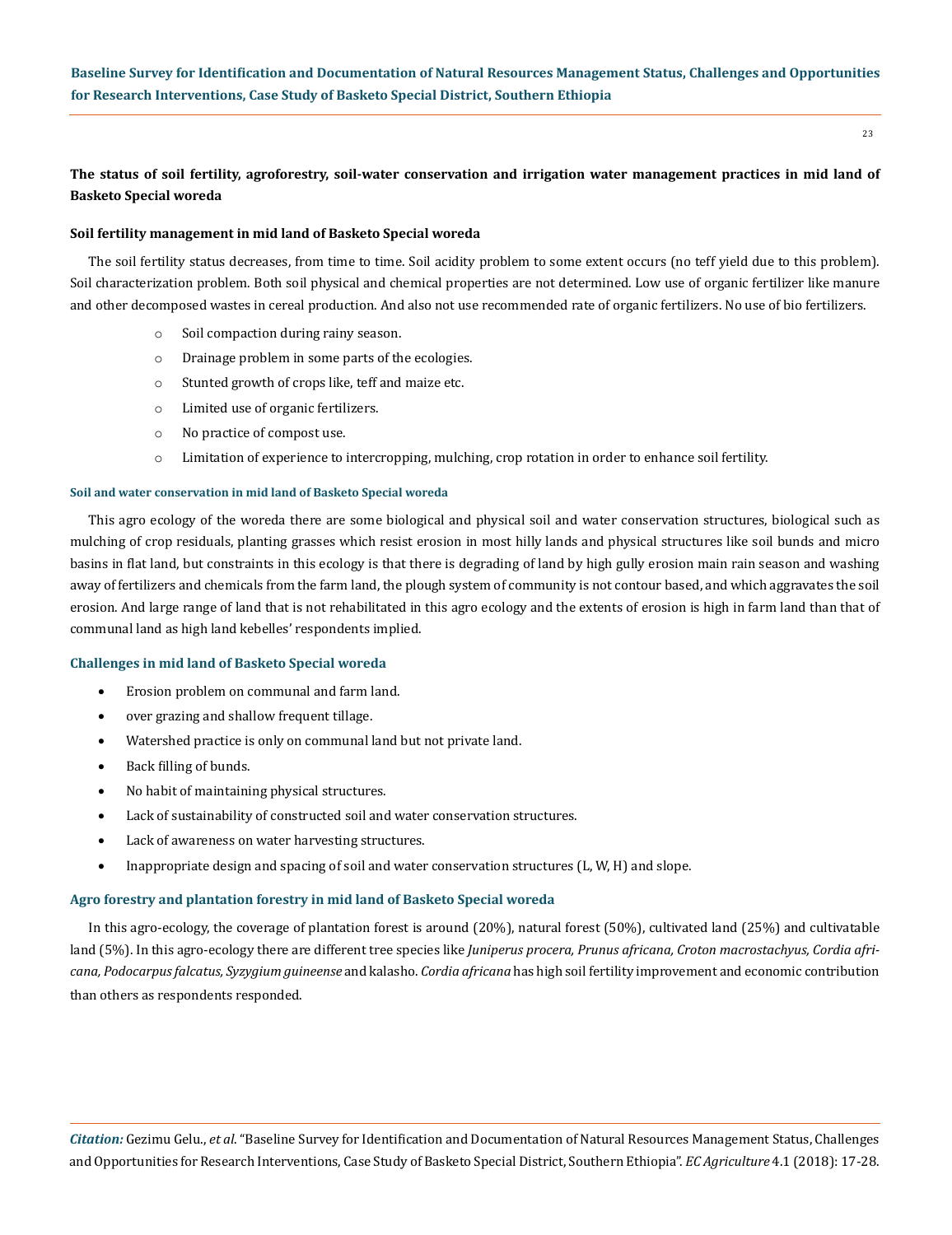# **The status of soil fertility, agroforestry, soil-water conservation and irrigation water management practices in mid land of Basketo Special woreda**

# **Soil fertility management in mid land of Basketo Special woreda**

The soil fertility status decreases, from time to time. Soil acidity problem to some extent occurs (no teff yield due to this problem). Soil characterization problem. Both soil physical and chemical properties are not determined. Low use of organic fertilizer like manure and other decomposed wastes in cereal production. And also not use recommended rate of organic fertilizers. No use of bio fertilizers.

- o Soil compaction during rainy season.
- o Drainage problem in some parts of the ecologies.
- o Stunted growth of crops like, teff and maize etc.
- o Limited use of organic fertilizers.
- o No practice of compost use.
- o Limitation of experience to intercropping, mulching, crop rotation in order to enhance soil fertility.

#### **Soil and water conservation in mid land of Basketo Special woreda**

This agro ecology of the woreda there are some biological and physical soil and water conservation structures, biological such as mulching of crop residuals, planting grasses which resist erosion in most hilly lands and physical structures like soil bunds and micro basins in flat land, but constraints in this ecology is that there is degrading of land by high gully erosion main rain season and washing away of fertilizers and chemicals from the farm land, the plough system of community is not contour based, and which aggravates the soil erosion. And large range of land that is not rehabilitated in this agro ecology and the extents of erosion is high in farm land than that of communal land as high land kebelles' respondents implied.

#### **Challenges in mid land of Basketo Special woreda**

- Erosion problem on communal and farm land.
- over grazing and shallow frequent tillage.
- Watershed practice is only on communal land but not private land.
- Back filling of bunds.
- No habit of maintaining physical structures.
- Lack of sustainability of constructed soil and water conservation structures.
- Lack of awareness on water harvesting structures.
- Inappropriate design and spacing of soil and water conservation structures (L, W, H) and slope.

#### **Agro forestry and plantation forestry in mid land of Basketo Special woreda**

In this agro-ecology, the coverage of plantation forest is around (20%), natural forest (50%), cultivated land (25%) and cultivatable land (5%). In this agro-ecology there are different tree species like *Juniperus procera, Prunus africana, Croton macrostachyus, Cordia africana, Podocarpus falcatus, Syzygium guineense* and kalasho. *Cordia africana* has high soil fertility improvement and economic contribution than others as respondents responded.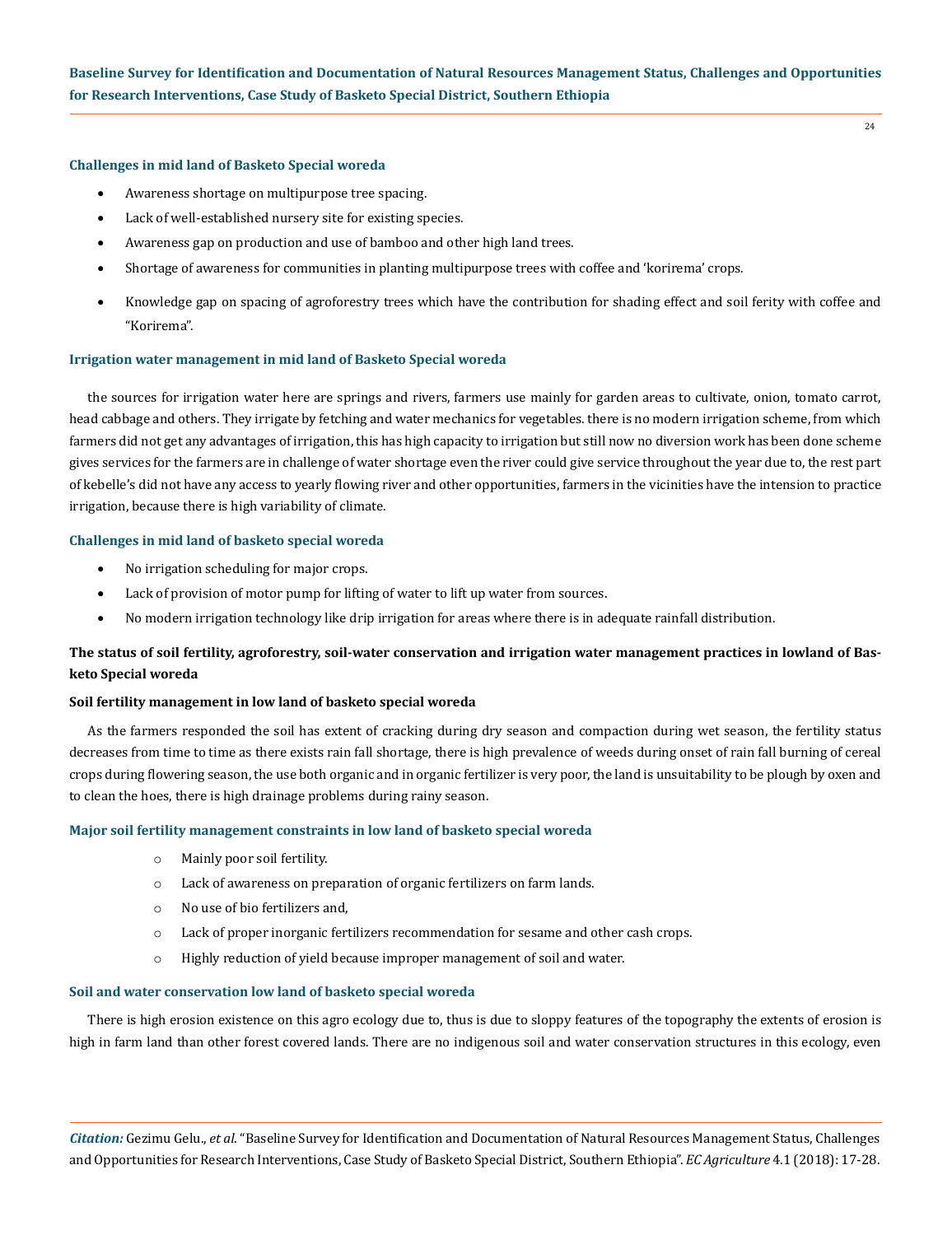# **Challenges in mid land of Basketo Special woreda**

- Awareness shortage on multipurpose tree spacing.
- Lack of well-established nursery site for existing species.
- Awareness gap on production and use of bamboo and other high land trees.
- • Shortage of awareness for communities in planting multipurpose trees with coffee and 'korirema' crops.
- • Knowledge gap on spacing of agroforestry trees which have the contribution for shading effect and soil ferity with coffee and "Korirema".

# **Irrigation water management in mid land of Basketo Special woreda**

the sources for irrigation water here are springs and rivers, farmers use mainly for garden areas to cultivate, onion, tomato carrot, head cabbage and others. They irrigate by fetching and water mechanics for vegetables. there is no modern irrigation scheme, from which farmers did not get any advantages of irrigation, this has high capacity to irrigation but still now no diversion work has been done scheme gives services for the farmers are in challenge of water shortage even the river could give service throughout the year due to, the rest part of kebelle's did not have any access to yearly flowing river and other opportunities, farmers in the vicinities have the intension to practice irrigation, because there is high variability of climate.

# **Challenges in mid land of basketo special woreda**

- No irrigation scheduling for major crops.
- Lack of provision of motor pump for lifting of water to lift up water from sources.
- No modern irrigation technology like drip irrigation for areas where there is in adequate rainfall distribution.

# **The status of soil fertility, agroforestry, soil-water conservation and irrigation water management practices in lowland of Basketo Special woreda**

### **Soil fertility management in low land of basketo special woreda**

As the farmers responded the soil has extent of cracking during dry season and compaction during wet season, the fertility status decreases from time to time as there exists rain fall shortage, there is high prevalence of weeds during onset of rain fall burning of cereal crops during flowering season, the use both organic and in organic fertilizer is very poor, the land is unsuitability to be plough by oxen and to clean the hoes, there is high drainage problems during rainy season.

#### **Major soil fertility management constraints in low land of basketo special woreda**

- o Mainly poor soil fertility.
- o Lack of awareness on preparation of organic fertilizers on farm lands.
- o No use of bio fertilizers and,
- o Lack of proper inorganic fertilizers recommendation for sesame and other cash crops.
- o Highly reduction of yield because improper management of soil and water.

#### **Soil and water conservation low land of basketo special woreda**

There is high erosion existence on this agro ecology due to, thus is due to sloppy features of the topography the extents of erosion is high in farm land than other forest covered lands. There are no indigenous soil and water conservation structures in this ecology, even

*Citation:* Gezimu Gelu., *et al*. "Baseline Survey for Identification and Documentation of Natural Resources Management Status, Challenges and Opportunities for Research Interventions, Case Study of Basketo Special District, Southern Ethiopia". *EC Agriculture* 4.1 (2018): 17-28.

 $24$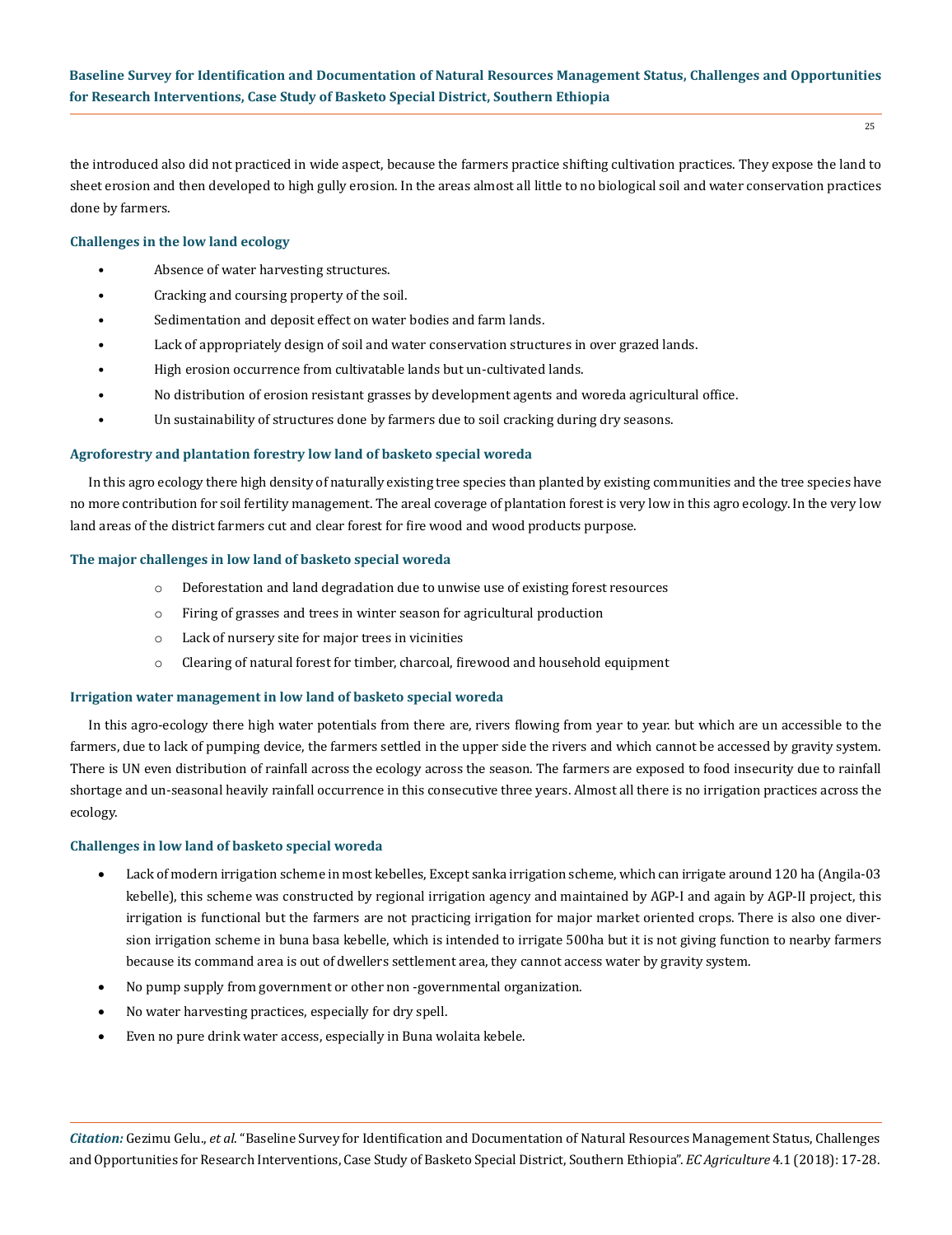the introduced also did not practiced in wide aspect, because the farmers practice shifting cultivation practices. They expose the land to sheet erosion and then developed to high gully erosion. In the areas almost all little to no biological soil and water conservation practices done by farmers.

# **Challenges in the low land ecology**

- Absence of water harvesting structures.
- Cracking and coursing property of the soil.
- Sedimentation and deposit effect on water bodies and farm lands.
- Lack of appropriately design of soil and water conservation structures in over grazed lands.
- High erosion occurrence from cultivatable lands but un-cultivated lands.
- No distribution of erosion resistant grasses by development agents and woreda agricultural office.
- Un sustainability of structures done by farmers due to soil cracking during dry seasons.

# **Agroforestry and plantation forestry low land of basketo special woreda**

In this agro ecology there high density of naturally existing tree species than planted by existing communities and the tree species have no more contribution for soil fertility management. The areal coverage of plantation forest is very low in this agro ecology. In the very low land areas of the district farmers cut and clear forest for fire wood and wood products purpose.

# **The major challenges in low land of basketo special woreda**

- o Deforestation and land degradation due to unwise use of existing forest resources
- o Firing of grasses and trees in winter season for agricultural production
- o Lack of nursery site for major trees in vicinities
- o Clearing of natural forest for timber, charcoal, firewood and household equipment

# **Irrigation water management in low land of basketo special woreda**

In this agro-ecology there high water potentials from there are, rivers flowing from year to year. but which are un accessible to the farmers, due to lack of pumping device, the farmers settled in the upper side the rivers and which cannot be accessed by gravity system. There is UN even distribution of rainfall across the ecology across the season. The farmers are exposed to food insecurity due to rainfall shortage and un-seasonal heavily rainfall occurrence in this consecutive three years. Almost all there is no irrigation practices across the ecology.

# **Challenges in low land of basketo special woreda**

- Lack of modern irrigation scheme in most kebelles, Except sanka irrigation scheme, which can irrigate around 120 ha (Angila-03 kebelle), this scheme was constructed by regional irrigation agency and maintained by AGP-I and again by AGP-II project, this irrigation is functional but the farmers are not practicing irrigation for major market oriented crops. There is also one diversion irrigation scheme in buna basa kebelle, which is intended to irrigate 500ha but it is not giving function to nearby farmers because its command area is out of dwellers settlement area, they cannot access water by gravity system.
- No pump supply from government or other non -governmental organization.
- No water harvesting practices, especially for dry spell.
- Even no pure drink water access, especially in Buna wolaita kebele.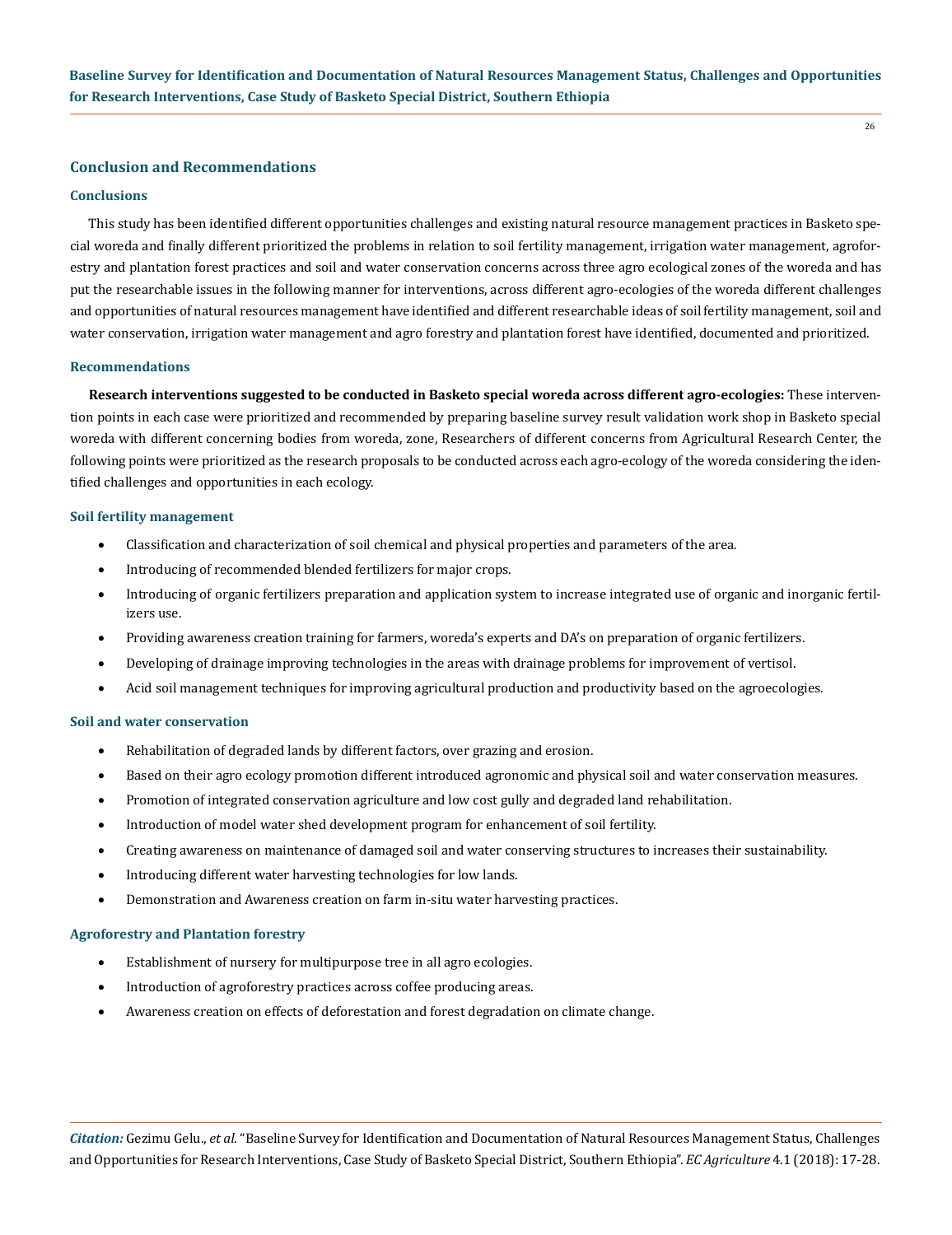26

#### **Conclusion and Recommendations**

# **Conclusions**

This study has been identified different opportunities challenges and existing natural resource management practices in Basketo special woreda and finally different prioritized the problems in relation to soil fertility management, irrigation water management, agroforestry and plantation forest practices and soil and water conservation concerns across three agro ecological zones of the woreda and has put the researchable issues in the following manner for interventions, across different agro-ecologies of the woreda different challenges and opportunities of natural resources management have identified and different researchable ideas of soil fertility management, soil and water conservation, irrigation water management and agro forestry and plantation forest have identified, documented and prioritized.

### **Recommendations**

**Research interventions suggested to be conducted in Basketo special woreda across different agro-ecologies:** These intervention points in each case were prioritized and recommended by preparing baseline survey result validation work shop in Basketo special woreda with different concerning bodies from woreda, zone, Researchers of different concerns from Agricultural Research Center, the following points were prioritized as the research proposals to be conducted across each agro-ecology of the woreda considering the identified challenges and opportunities in each ecology.

#### **Soil fertility management**

- Classification and characterization of soil chemical and physical properties and parameters of the area.
- Introducing of recommended blended fertilizers for major crops.
- Introducing of organic fertilizers preparation and application system to increase integrated use of organic and inorganic fertilizers use.
- Providing awareness creation training for farmers, woreda's experts and DA's on preparation of organic fertilizers.
- Developing of drainage improving technologies in the areas with drainage problems for improvement of vertisol.
- Acid soil management techniques for improving agricultural production and productivity based on the agroecologies.

# **Soil and water conservation**

- Rehabilitation of degraded lands by different factors, over grazing and erosion.
- Based on their agro ecology promotion different introduced agronomic and physical soil and water conservation measures.
- Promotion of integrated conservation agriculture and low cost gully and degraded land rehabilitation.
- Introduction of model water shed development program for enhancement of soil fertility.
- Creating awareness on maintenance of damaged soil and water conserving structures to increases their sustainability.
- Introducing different water harvesting technologies for low lands.
- Demonstration and Awareness creation on farm in-situ water harvesting practices.

#### **Agroforestry and Plantation forestry**

- Establishment of nursery for multipurpose tree in all agro ecologies.
- Introduction of agroforestry practices across coffee producing areas.
- Awareness creation on effects of deforestation and forest degradation on climate change.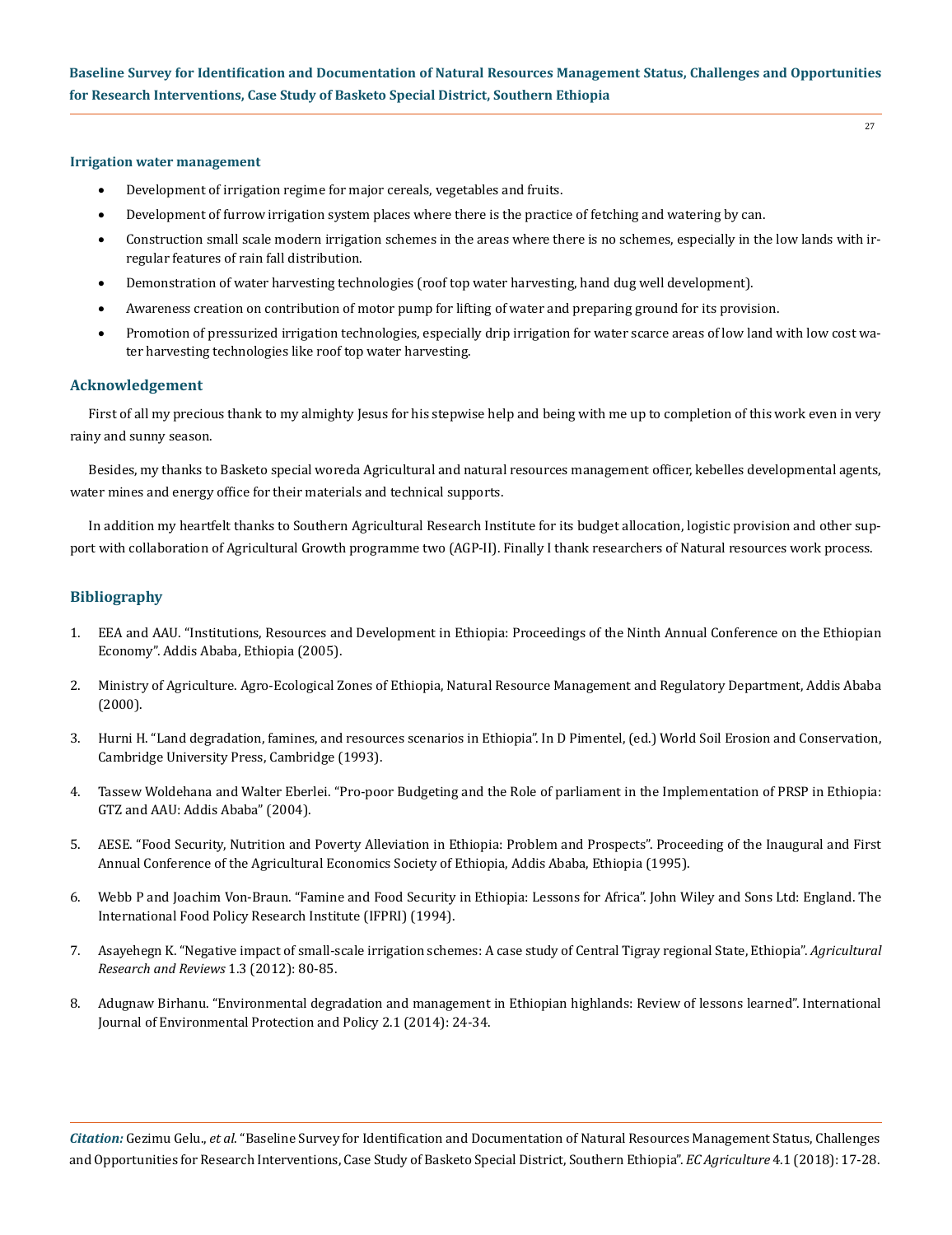# **Irrigation water management**

- Development of irrigation regime for major cereals, vegetables and fruits.
- Development of furrow irrigation system places where there is the practice of fetching and watering by can.
- Construction small scale modern irrigation schemes in the areas where there is no schemes, especially in the low lands with irregular features of rain fall distribution.
- Demonstration of water harvesting technologies (roof top water harvesting, hand dug well development).
- Awareness creation on contribution of motor pump for lifting of water and preparing ground for its provision.
- Promotion of pressurized irrigation technologies, especially drip irrigation for water scarce areas of low land with low cost water harvesting technologies like roof top water harvesting.

# **Acknowledgement**

First of all my precious thank to my almighty Jesus for his stepwise help and being with me up to completion of this work even in very rainy and sunny season.

Besides, my thanks to Basketo special woreda Agricultural and natural resources management officer, kebelles developmental agents, water mines and energy office for their materials and technical supports.

In addition my heartfelt thanks to Southern Agricultural Research Institute for its budget allocation, logistic provision and other support with collaboration of Agricultural Growth programme two (AGP-II). Finally I thank researchers of Natural resources work process.

# **Bibliography**

- 1. EEA and AAU. "Institutions, Resources and Development in Ethiopia: Proceedings of the Ninth Annual Conference on the Ethiopian Economy". Addis Ababa, Ethiopia (2005).
- 2. Ministry of Agriculture. Agro-Ecological Zones of Ethiopia, Natural Resource Management and Regulatory Department, Addis Ababa (2000).
- 3. [Hurni H. "Land degradation, famines, and resources scenarios in Ethiopia". In D Pimentel, \(ed.\) World Soil Erosion and Conservation,](https://www.researchgate.net/publication/279605109_Land_degradation_famine_and_land_resource_scenarios_in_Ethiopia)  [Cambridge University Press, Cambridge \(1993\).](https://www.researchgate.net/publication/279605109_Land_degradation_famine_and_land_resource_scenarios_in_Ethiopia)
- 4. Tassew Woldehana and Walter Eberlei. "Pro-poor Budgeting and the Role of parliament in the Implementation of PRSP in Ethiopia: GTZ and AAU: Addis Ababa" (2004).
- 5. AESE. "Food Security, Nutrition and Poverty Alleviation in Ethiopia: Problem and Prospects". Proceeding of the Inaugural and First Annual Conference of the Agricultural Economics Society of Ethiopia, Addis Ababa, Ethiopia (1995).
- 6. [Webb P and Joachim Von-Braun. "Famine and Food Security in Ethiopia: Lessons for Africa". John Wiley and Sons Ltd: England. The](http://www.ifpri.org/publication/famine-and-food-security-ethiopia) [International Food Policy Research Institute \(IFPRI\) \(1994\).](http://www.ifpri.org/publication/famine-and-food-security-ethiopia)
- 7. [Asayehegn K. "Negative impact of small-scale irrigation schemes: A case study of Central Tigray regional State, Ethiopia".](https://www.researchgate.net/publication/279206604_Negative_impact_of_small-scale_irrigation_schemes_A_case_study_of_Central_Tigray_regional_state_Ethiopia) *Agricultural [Research and Reviews](https://www.researchgate.net/publication/279206604_Negative_impact_of_small-scale_irrigation_schemes_A_case_study_of_Central_Tigray_regional_state_Ethiopia)* 1.3 (2012): 80-85.
- 8. [Adugnaw Birhanu. "Environmental degradation and management in Ethiopian highlands: Review of lessons learned". International](http://article.sciencepublishinggroup.com/pdf/10.11648.j.ijepp.20140201.14.pdf)  [Journal of Environmental Protection and Policy 2.1 \(2014\): 24-34.](http://article.sciencepublishinggroup.com/pdf/10.11648.j.ijepp.20140201.14.pdf)